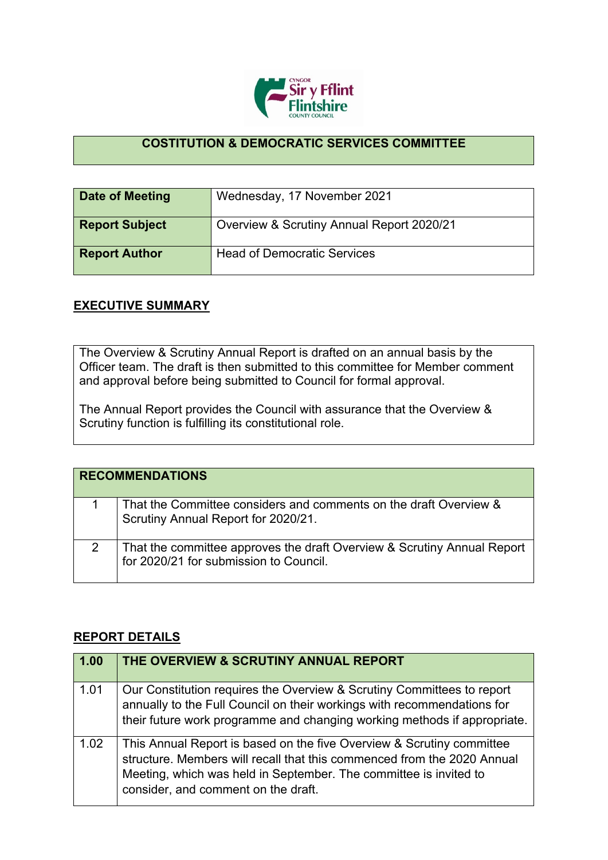

## **COSTITUTION & DEMOCRATIC SERVICES COMMITTEE**

| Date of Meeting       | Wednesday, 17 November 2021                          |
|-----------------------|------------------------------------------------------|
| <b>Report Subject</b> | <b>Overview &amp; Scrutiny Annual Report 2020/21</b> |
| <b>Report Author</b>  | <b>Head of Democratic Services</b>                   |

## **EXECUTIVE SUMMARY**

The Overview & Scrutiny Annual Report is drafted on an annual basis by the Officer team. The draft is then submitted to this committee for Member comment and approval before being submitted to Council for formal approval.

The Annual Report provides the Council with assurance that the Overview & Scrutiny function is fulfilling its constitutional role.

| <b>RECOMMENDATIONS</b> |                                                                                                                   |
|------------------------|-------------------------------------------------------------------------------------------------------------------|
|                        | That the Committee considers and comments on the draft Overview &<br>Scrutiny Annual Report for 2020/21.          |
| 2                      | That the committee approves the draft Overview & Scrutiny Annual Report<br>for 2020/21 for submission to Council. |

## **REPORT DETAILS**

| 1.00 | THE OVERVIEW & SCRUTINY ANNUAL REPORT                                                                                                                                                                                                                        |
|------|--------------------------------------------------------------------------------------------------------------------------------------------------------------------------------------------------------------------------------------------------------------|
| 1.01 | Our Constitution requires the Overview & Scrutiny Committees to report<br>annually to the Full Council on their workings with recommendations for<br>their future work programme and changing working methods if appropriate.                                |
| 1.02 | This Annual Report is based on the five Overview & Scrutiny committee<br>structure. Members will recall that this commenced from the 2020 Annual<br>Meeting, which was held in September. The committee is invited to<br>consider, and comment on the draft. |